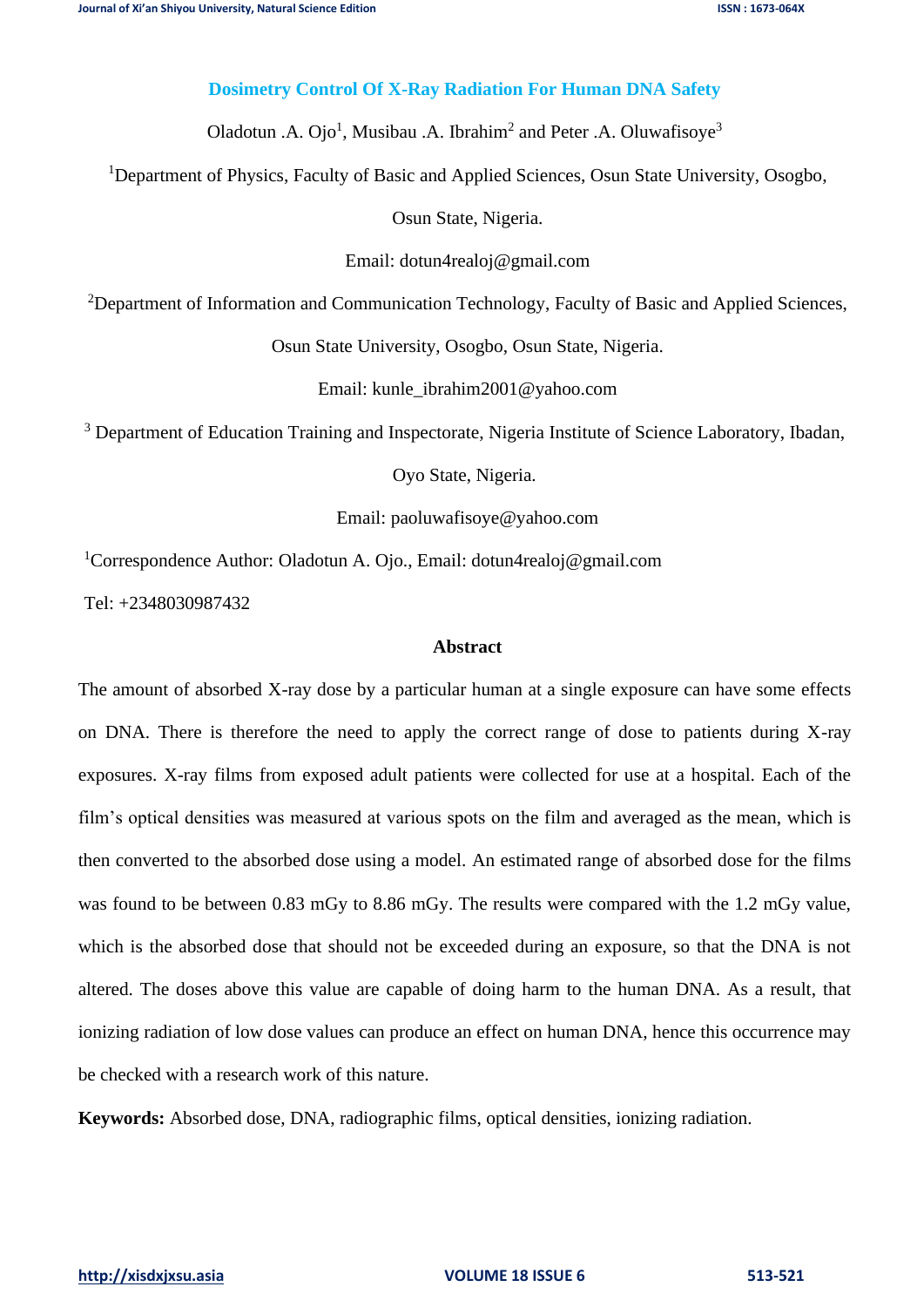## **Dosimetry Control Of X-Ray Radiation For Human DNA Safety**

Oladotun .A. Ojo<sup>1</sup>, Musibau .A. Ibrahim<sup>2</sup> and Peter .A. Oluwafisoye<sup>3</sup>

<sup>1</sup>Department of Physics, Faculty of Basic and Applied Sciences, Osun State University, Osogbo,

Osun State, Nigeria.

Email: [dotun4realoj@gmail.com](mailto:dotun4realoj@gmail.com)

<sup>2</sup>Department of Information and Communication Technology, Faculty of Basic and Applied Sciences,

Osun State University, Osogbo, Osun State, Nigeria.

Email: kunle\_ibrahim2001@yahoo.com

<sup>3</sup> Department of Education Training and Inspectorate, Nigeria Institute of Science Laboratory, Ibadan,

Oyo State, Nigeria.

Email: paoluwafisoye@yahoo.com

<sup>1</sup>Correspondence Author: Oladotun A. Ojo., Email: [dotun4realoj@gmail.com](mailto:dotun4realoj@gmail.com)

Tel: +2348030987432

### **Abstract**

The amount of absorbed X-ray dose by a particular human at a single exposure can have some effects on DNA. There is therefore the need to apply the correct range of dose to patients during X-ray exposures. X-ray films from exposed adult patients were collected for use at a hospital. Each of the film's optical densities was measured at various spots on the film and averaged as the mean, which is then converted to the absorbed dose using a model. An estimated range of absorbed dose for the films was found to be between 0.83 mGy to 8.86 mGy. The results were compared with the 1.2 mGy value, which is the absorbed dose that should not be exceeded during an exposure, so that the DNA is not altered. The doses above this value are capable of doing harm to the human DNA. As a result, that ionizing radiation of low dose values can produce an effect on human DNA, hence this occurrence may be checked with a research work of this nature.

**Keywords:** Absorbed dose, DNA, radiographic films, optical densities, ionizing radiation.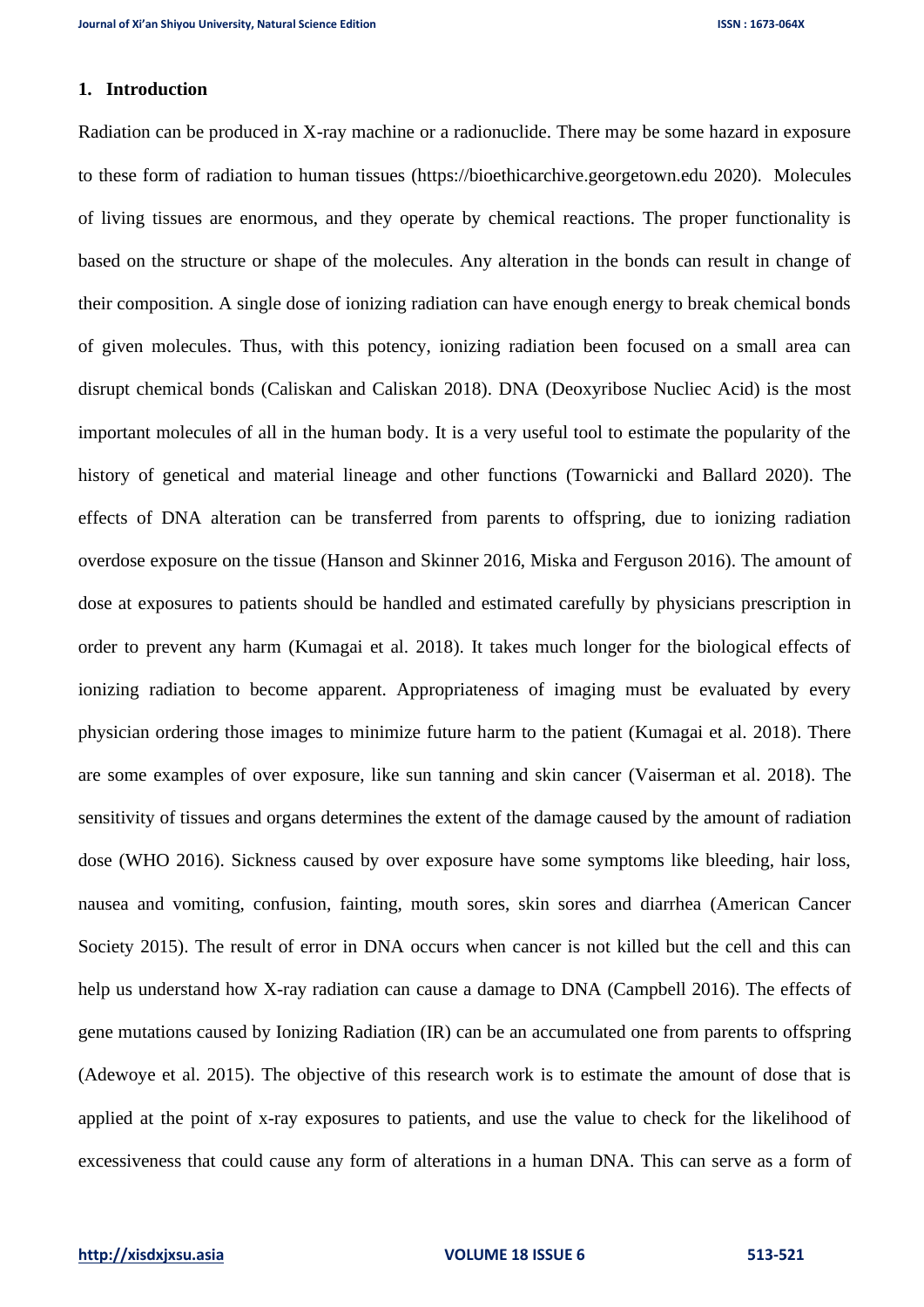## **1. Introduction**

Radiation can be produced in X-ray machine or a radionuclide. There may be some hazard in exposure to these form of radiation to human tissues [\(https://bioethicarchive.georgetown.edu](https://bioethicarchive.georgetown.edu/) 2020). Molecules of living tissues are enormous, and they operate by chemical reactions. The proper functionality is based on the structure or shape of the molecules. Any alteration in the bonds can result in change of their composition. A single dose of ionizing radiation can have enough energy to break chemical bonds of given molecules. Thus, with this potency, ionizing radiation been focused on a small area can disrupt chemical bonds (Caliskan and Caliskan 2018). DNA (Deoxyribose Nucliec Acid) is the most important molecules of all in the human body. It is a very useful tool to estimate the popularity of the history of genetical and material lineage and other functions (Towarnicki and Ballard 2020). The effects of DNA alteration can be transferred from parents to offspring, due to ionizing radiation overdose exposure on the tissue (Hanson and Skinner 2016, Miska and Ferguson 2016). The amount of dose at exposures to patients should be handled and estimated carefully by physicians prescription in order to prevent any harm (Kumagai et al. 2018). It takes much longer for the biological effects of ionizing radiation to become apparent. Appropriateness of imaging must be evaluated by every physician ordering those images to minimize future harm to the patient (Kumagai et al. 2018). There are some examples of over exposure, like sun tanning and skin cancer (Vaiserman et al. 2018). The sensitivity of tissues and organs determines the extent of the damage caused by the amount of radiation dose (WHO 2016). Sickness caused by over exposure have some symptoms like bleeding, hair loss, nausea and vomiting, confusion, fainting, mouth sores, skin sores and diarrhea (American Cancer Society 2015). The result of error in DNA occurs when cancer is not killed but the cell and this can help us understand how X-ray radiation can cause a damage to DNA (Campbell 2016). The effects of gene mutations caused by Ionizing Radiation (IR) can be an accumulated one from parents to offspring (Adewoye et al. 2015). The objective of this research work is to estimate the amount of dose that is applied at the point of x-ray exposures to patients, and use the value to check for the likelihood of excessiveness that could cause any form of alterations in a human DNA. This can serve as a form of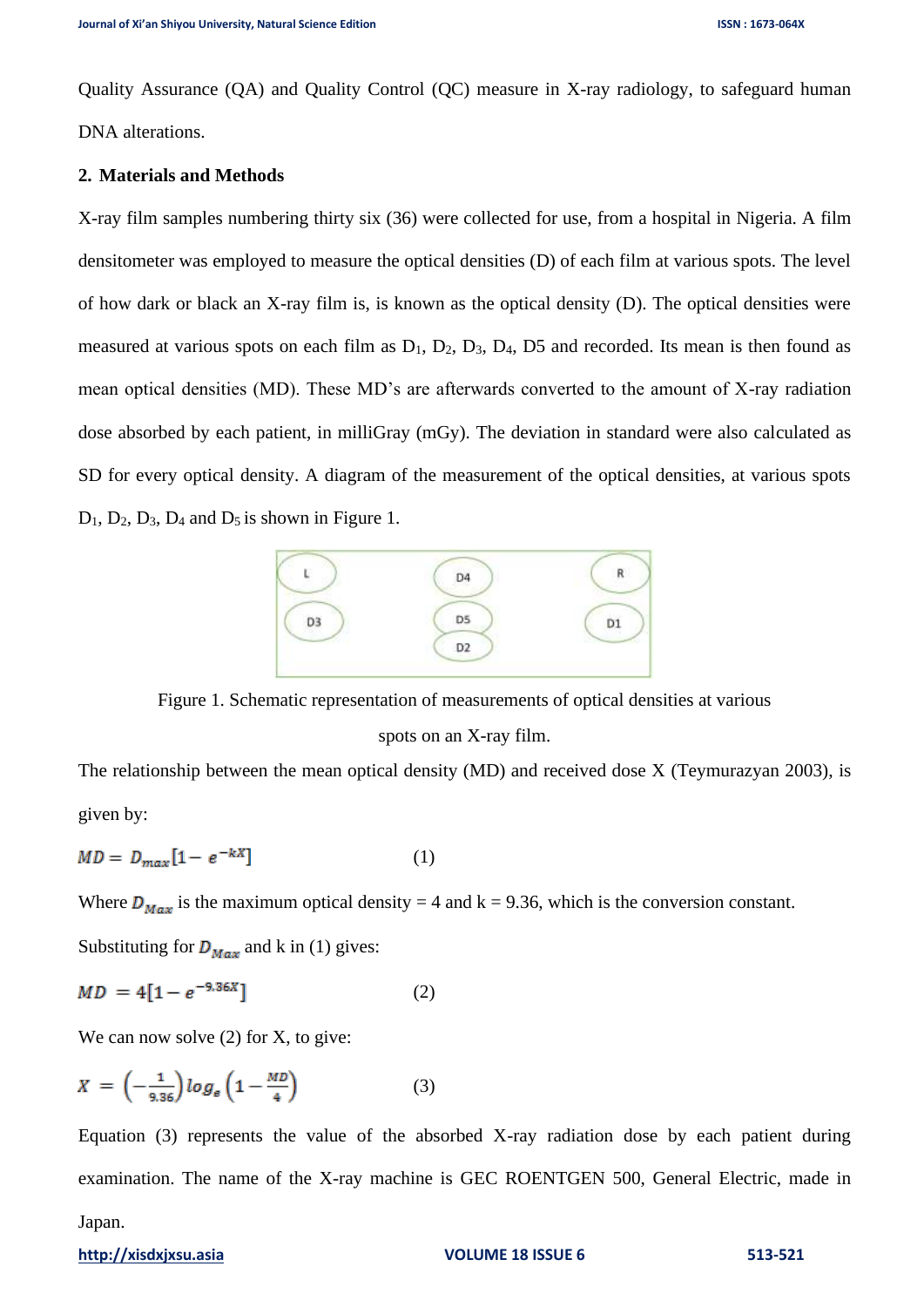Quality Assurance (QA) and Quality Control (QC) measure in X-ray radiology, to safeguard human DNA alterations.

## **2. Materials and Methods**

X-ray film samples numbering thirty six (36) were collected for use, from a hospital in Nigeria. A film densitometer was employed to measure the optical densities (D) of each film at various spots. The level of how dark or black an X-ray film is, is known as the optical density (D). The optical densities were measured at various spots on each film as  $D_1$ ,  $D_2$ ,  $D_3$ ,  $D_4$ ,  $D_5$  and recorded. Its mean is then found as mean optical densities (MD). These MD's are afterwards converted to the amount of X-ray radiation dose absorbed by each patient, in milliGray (mGy). The deviation in standard were also calculated as SD for every optical density. A diagram of the measurement of the optical densities, at various spots  $D_1$ ,  $D_2$ ,  $D_3$ ,  $D_4$  and  $D_5$  is shown in Figure 1.



Figure 1. Schematic representation of measurements of optical densities at various spots on an X-ray film.

The relationship between the mean optical density (MD) and received dose X (Teymurazyan 2003), is given by:

$$
MD = D_{max}[1 - e^{-kX}] \tag{1}
$$

Where  $D_{Max}$  is the maximum optical density = 4 and k = 9.36, which is the conversion constant.

Substituting for  $D_{Max}$  and k in (1) gives:

$$
MD = 4[1 - e^{-9.36X}] \tag{2}
$$

We can now solve (2) for X, to give:

$$
X = \left(-\frac{1}{9.36}\right) \log_e \left(1 - \frac{MD}{4}\right) \tag{3}
$$

Equation (3) represents the value of the absorbed X-ray radiation dose by each patient during examination. The name of the X-ray machine is GEC ROENTGEN 500, General Electric, made in

#### Japan.

#### **[http://xisdxjxsu.asia](http://xisdxjxsu.asia/) VOLUME 18 ISSUE 6 513-521**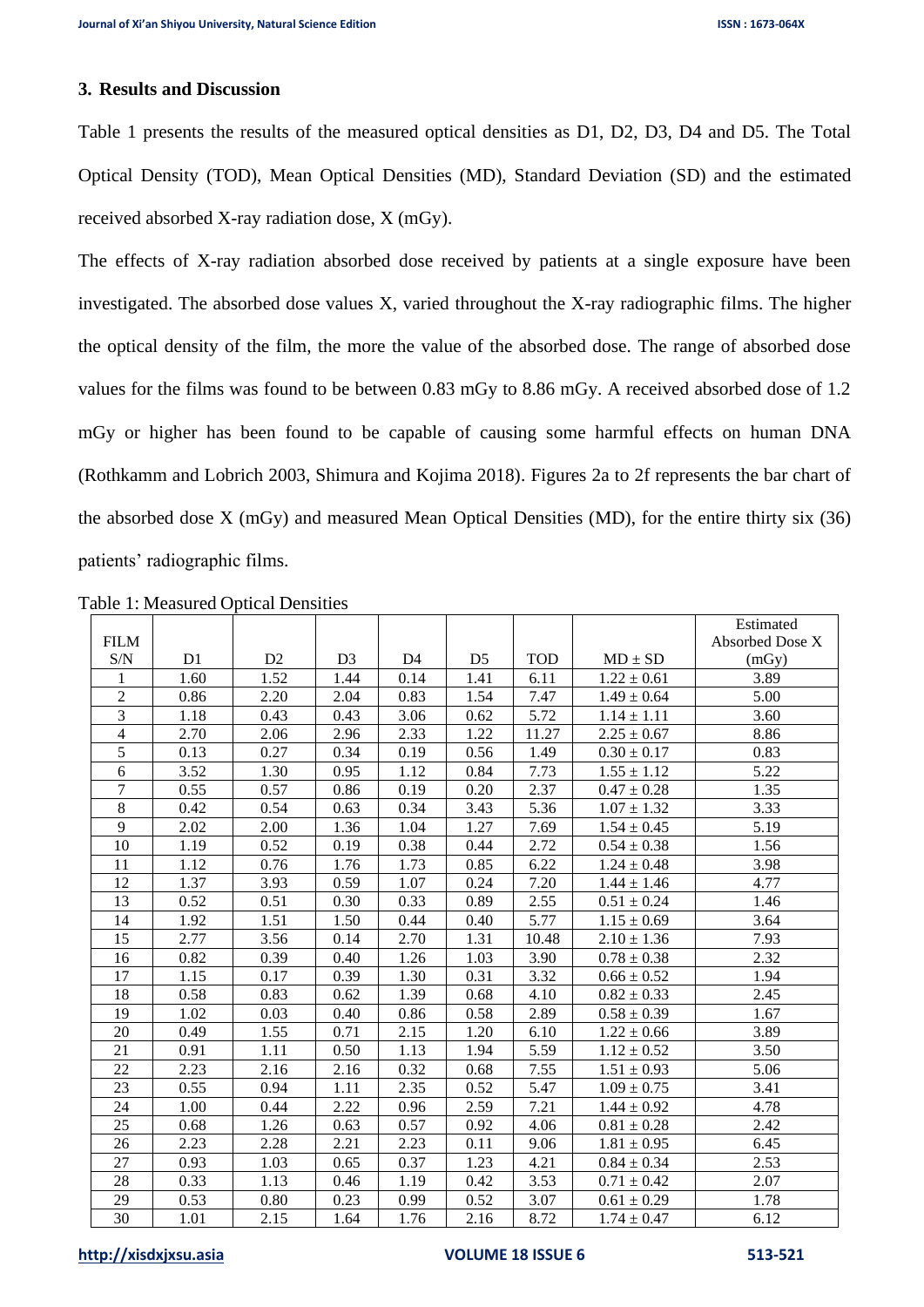# **3. Results and Discussion**

Table 1 presents the results of the measured optical densities as D1, D2, D3, D4 and D5. The Total Optical Density (TOD), Mean Optical Densities (MD), Standard Deviation (SD) and the estimated received absorbed X-ray radiation dose, X (mGy).

The effects of X-ray radiation absorbed dose received by patients at a single exposure have been investigated. The absorbed dose values X, varied throughout the X-ray radiographic films. The higher the optical density of the film, the more the value of the absorbed dose. The range of absorbed dose values for the films was found to be between 0.83 mGy to 8.86 mGy. A received absorbed dose of 1.2 mGy or higher has been found to be capable of causing some harmful effects on human DNA (Rothkamm and Lobrich 2003, Shimura and Kojima 2018). Figures 2a to 2f represents the bar chart of the absorbed dose X (mGy) and measured Mean Optical Densities (MD), for the entire thirty six (36) patients' radiographic films.

|                |                |                |                |                |                |            |                 | Estimated       |
|----------------|----------------|----------------|----------------|----------------|----------------|------------|-----------------|-----------------|
| <b>FILM</b>    |                |                |                |                |                |            |                 | Absorbed Dose X |
| S/N            | D <sub>1</sub> | D <sub>2</sub> | D <sub>3</sub> | D <sub>4</sub> | D <sub>5</sub> | <b>TOD</b> | $MD \pm SD$     | (mGy)           |
| 1              | 1.60           | 1.52           | 1.44           | 0.14           | 1.41           | 6.11       | $1.22 \pm 0.61$ | 3.89            |
| $\overline{2}$ | 0.86           | 2.20           | 2.04           | 0.83           | 1.54           | 7.47       | $1.49 \pm 0.64$ | 5.00            |
| $\overline{3}$ | 1.18           | 0.43           | 0.43           | 3.06           | 0.62           | 5.72       | $1.14 \pm 1.11$ | 3.60            |
| $\overline{4}$ | 2.70           | 2.06           | 2.96           | 2.33           | 1.22           | 11.27      | $2.25 \pm 0.67$ | 8.86            |
| 5              | 0.13           | 0.27           | 0.34           | 0.19           | 0.56           | 1.49       | $0.30 \pm 0.17$ | 0.83            |
| 6              | 3.52           | 1.30           | 0.95           | 1.12           | 0.84           | 7.73       | $1.55 \pm 1.12$ | 5.22            |
| $\overline{7}$ | 0.55           | 0.57           | 0.86           | 0.19           | 0.20           | 2.37       | $0.47 \pm 0.28$ | 1.35            |
| 8              | 0.42           | 0.54           | 0.63           | 0.34           | 3.43           | 5.36       | $1.07 \pm 1.32$ | 3.33            |
| 9              | 2.02           | 2.00           | 1.36           | 1.04           | 1.27           | 7.69       | $1.54 \pm 0.45$ | 5.19            |
| 10             | 1.19           | 0.52           | 0.19           | 0.38           | 0.44           | 2.72       | $0.54 \pm 0.38$ | 1.56            |
| 11             | 1.12           | 0.76           | 1.76           | 1.73           | 0.85           | 6.22       | $1.24 \pm 0.48$ | 3.98            |
| 12             | 1.37           | 3.93           | 0.59           | 1.07           | 0.24           | 7.20       | $1.44 \pm 1.46$ | 4.77            |
| 13             | 0.52           | 0.51           | 0.30           | 0.33           | 0.89           | 2.55       | $0.51 \pm 0.24$ | 1.46            |
| 14             | 1.92           | 1.51           | 1.50           | 0.44           | 0.40           | 5.77       | $1.15 \pm 0.69$ | 3.64            |
| 15             | 2.77           | 3.56           | 0.14           | 2.70           | 1.31           | 10.48      | $2.10 \pm 1.36$ | 7.93            |
| 16             | 0.82           | 0.39           | 0.40           | 1.26           | 1.03           | 3.90       | $0.78 \pm 0.38$ | 2.32            |
| 17             | 1.15           | 0.17           | 0.39           | 1.30           | 0.31           | 3.32       | $0.66 \pm 0.52$ | 1.94            |
| 18             | 0.58           | 0.83           | 0.62           | 1.39           | 0.68           | 4.10       | $0.82 \pm 0.33$ | 2.45            |
| 19             | 1.02           | 0.03           | 0.40           | 0.86           | 0.58           | 2.89       | $0.58 \pm 0.39$ | 1.67            |
| 20             | 0.49           | 1.55           | 0.71           | 2.15           | 1.20           | 6.10       | $1.22 \pm 0.66$ | 3.89            |
| 21             | 0.91           | 1.11           | 0.50           | 1.13           | 1.94           | 5.59       | $1.12 \pm 0.52$ | 3.50            |
| 22             | 2.23           | 2.16           | 2.16           | 0.32           | 0.68           | 7.55       | $1.51 \pm 0.93$ | 5.06            |
| 23             | 0.55           | 0.94           | 1.11           | 2.35           | 0.52           | 5.47       | $1.09 \pm 0.75$ | 3.41            |
| 24             | 1.00           | 0.44           | 2.22           | 0.96           | 2.59           | 7.21       | $1.44 \pm 0.92$ | 4.78            |
| 25             | 0.68           | 1.26           | 0.63           | 0.57           | 0.92           | 4.06       | $0.81 \pm 0.28$ | 2.42            |
| 26             | 2.23           | 2.28           | 2.21           | 2.23           | 0.11           | 9.06       | $1.81 \pm 0.95$ | 6.45            |
| 27             | 0.93           | 1.03           | 0.65           | 0.37           | 1.23           | 4.21       | $0.84 \pm 0.34$ | 2.53            |
| 28             | 0.33           | 1.13           | 0.46           | 1.19           | 0.42           | 3.53       | $0.71 \pm 0.42$ | 2.07            |
| 29             | 0.53           | 0.80           | 0.23           | 0.99           | 0.52           | 3.07       | $0.61 \pm 0.29$ | 1.78            |
| 30             | 1.01           | 2.15           | 1.64           | 1.76           | 2.16           | 8.72       | $1.74 \pm 0.47$ | 6.12            |

Table 1: Measured Optical Densities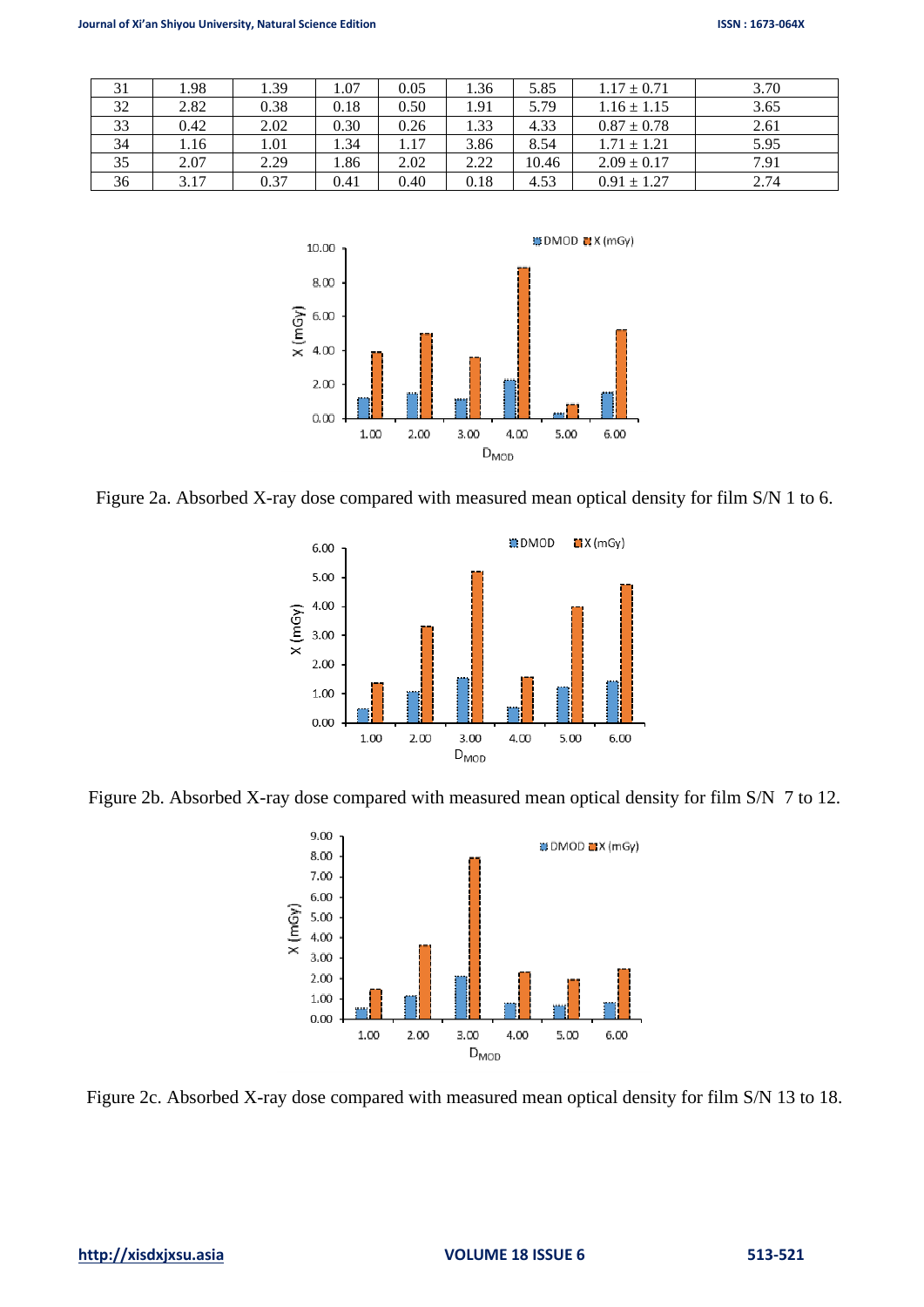| 31 | 1.98 | 1.39 | 1.07 | 0.05 | 1.36 | 5.85  | $1.17 \pm 0.71$ | 3.70 |
|----|------|------|------|------|------|-------|-----------------|------|
| 32 | 2.82 | 0.38 | 0.18 | 0.50 | 1.91 | 5.79  | $1.16 \pm 1.15$ | 3.65 |
| 33 | 0.42 | 2.02 | 0.30 | 0.26 | 1.33 | 4.33  | $0.87 \pm 0.78$ | 2.61 |
| 34 | 1.16 | 1.01 | 1.34 | 1.17 | 3.86 | 8.54  | $1.71 \pm 1.21$ | 5.95 |
| 35 | 2.07 | 2.29 | .86  | 2.02 | 2.22 | 10.46 | $2.09 \pm 0.17$ | 7.91 |
| 36 | 3.17 | 0.37 | 0.41 | 0.40 | 0.18 | 4.53  | $0.91 \pm 1.27$ | 2.74 |



Figure 2a. Absorbed X-ray dose compared with measured mean optical density for film S/N 1 to 6.



Figure 2b. Absorbed X-ray dose compared with measured mean optical density for film S/N 7 to 12.



Figure 2c. Absorbed X-ray dose compared with measured mean optical density for film S/N 13 to 18.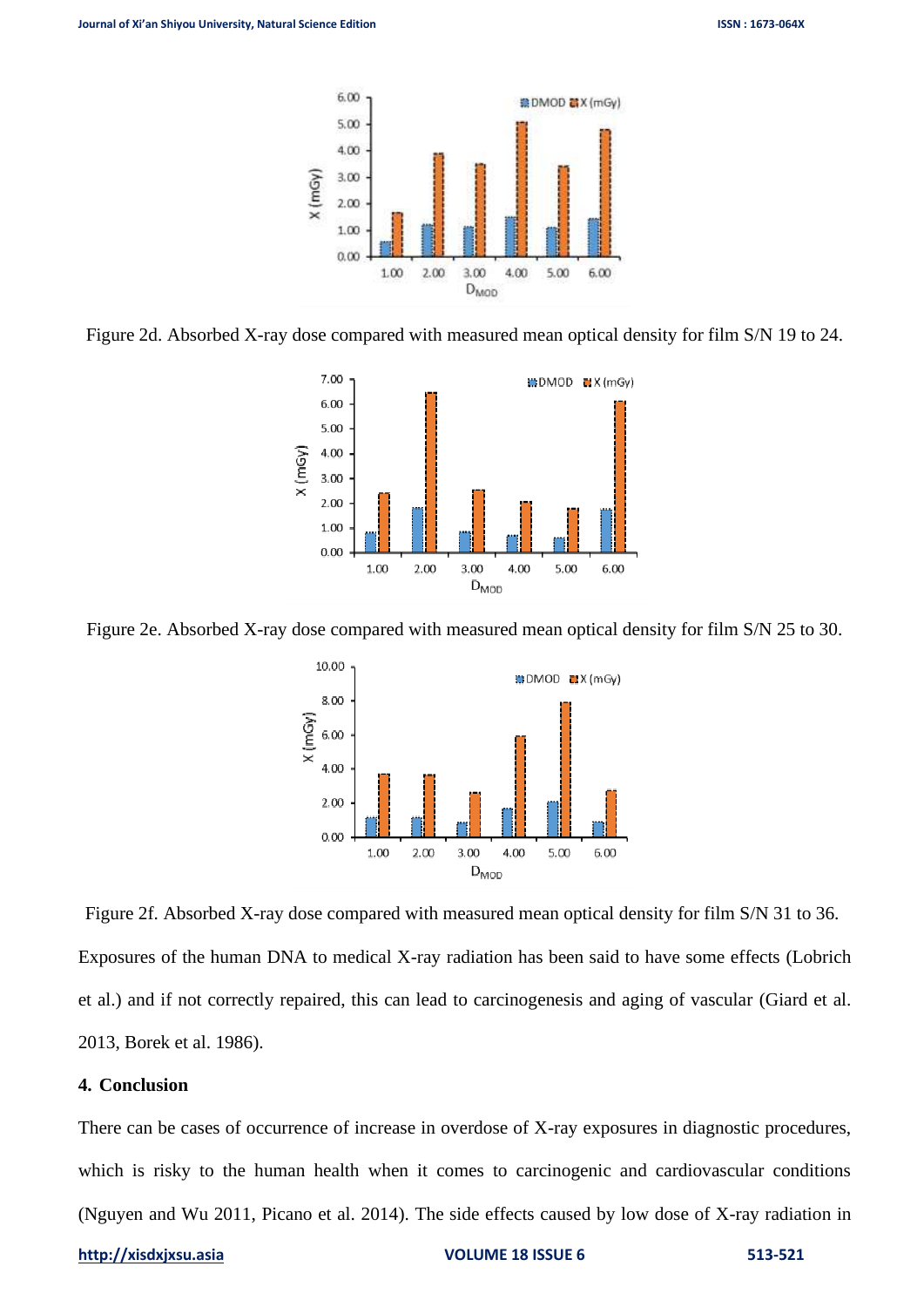

Figure 2d. Absorbed X-ray dose compared with measured mean optical density for film S/N 19 to 24.



Figure 2e. Absorbed X-ray dose compared with measured mean optical density for film S/N 25 to 30.



Figure 2f. Absorbed X-ray dose compared with measured mean optical density for film S/N 31 to 36. Exposures of the human DNA to medical X-ray radiation has been said to have some effects (Lobrich et al.) and if not correctly repaired, this can lead to carcinogenesis and aging of vascular (Giard et al. 2013, Borek et al. 1986).

## **4. Conclusion**

There can be cases of occurrence of increase in overdose of X-ray exposures in diagnostic procedures, which is risky to the human health when it comes to carcinogenic and cardiovascular conditions (Nguyen and Wu 2011, Picano et al. 2014). The side effects caused by low dose of X-ray radiation in

#### **[http://xisdxjxsu.asia](http://xisdxjxsu.asia/) VOLUME 18 ISSUE 6 513-521**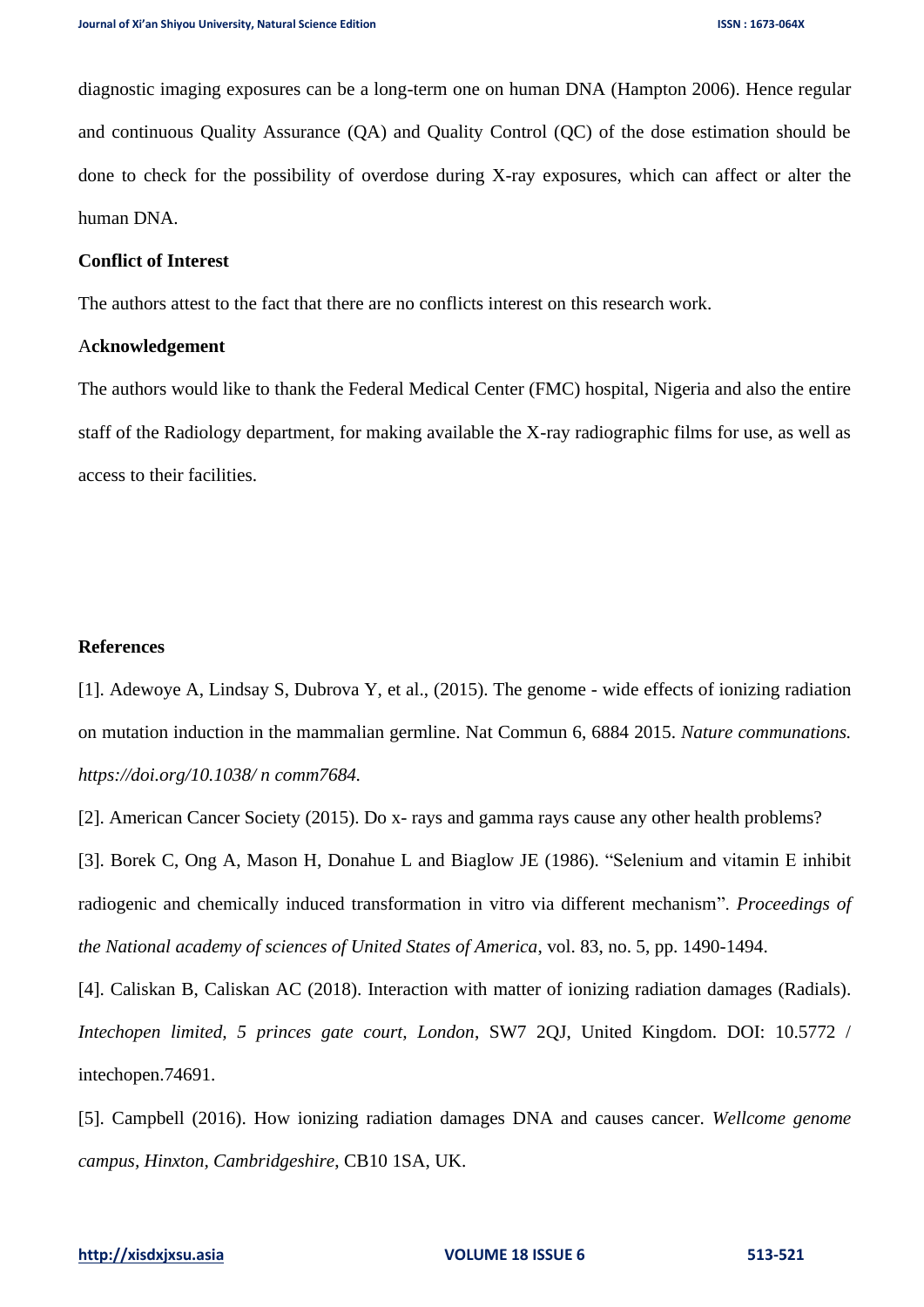diagnostic imaging exposures can be a long-term one on human DNA (Hampton 2006). Hence regular and continuous Quality Assurance (QA) and Quality Control (QC) of the dose estimation should be done to check for the possibility of overdose during X-ray exposures, which can affect or alter the human DNA.

#### **Conflict of Interest**

The authors attest to the fact that there are no conflicts interest on this research work.

#### A**cknowledgement**

The authors would like to thank the Federal Medical Center (FMC) hospital, Nigeria and also the entire staff of the Radiology department, for making available the X-ray radiographic films for use, as well as access to their facilities.

### **References**

[1]. Adewoye A, Lindsay S, Dubrova Y, et al., (2015). The genome - wide effects of ionizing radiation on mutation induction in the mammalian germline. Nat Commun 6, 6884 2015. *Nature communations. https://doi.org/10.1038/ n comm7684.*

[2]. American Cancer Society (2015). Do x- rays and gamma rays cause any other health problems?

[3]. Borek C, Ong A, Mason H, Donahue L and Biaglow JE (1986). "Selenium and vitamin E inhibit radiogenic and chemically induced transformation in vitro via different mechanism". *Proceedings of the National academy of sciences of United States of America*, vol. 83, no. 5, pp. 1490-1494.

[4]. Caliskan B, Caliskan AC (2018). Interaction with matter of ionizing radiation damages (Radials). *Intechopen limited, 5 princes gate court, London*, SW7 2QJ, United Kingdom. DOI: 10.5772 / intechopen.74691.

[5]. Campbell (2016). How ionizing radiation damages DNA and causes cancer. *Wellcome genome campus, Hinxton, Cambridgeshire*, CB10 1SA, UK.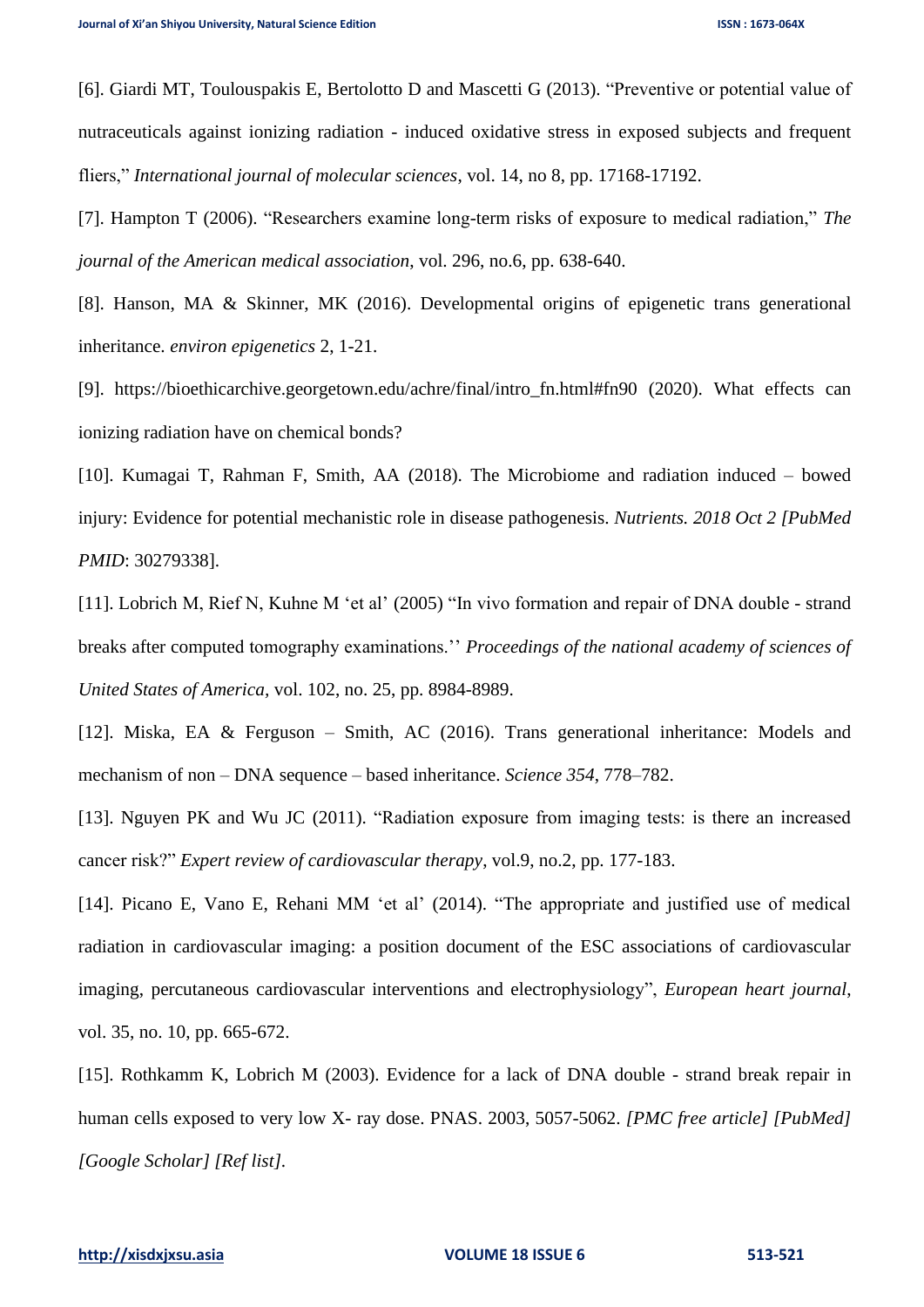[6]. Giardi MT, Toulouspakis E, Bertolotto D and Mascetti G (2013). "Preventive or potential value of nutraceuticals against ionizing radiation - induced oxidative stress in exposed subjects and frequent fliers," *International journal of molecular sciences*, vol. 14, no 8, pp. 17168-17192.

[7]. Hampton T (2006). "Researchers examine long-term risks of exposure to medical radiation," *The journal of the American medical association*, vol. 296, no.6, pp. 638-640.

[8]. Hanson, MA & Skinner, MK (2016). Developmental origins of epigenetic trans generational inheritance. *environ epigenetics* 2, 1-21.

[9]. [https://bioethicarchive.georgetown.edu/achre/final/intro\\_fn.html#fn90](https://bioethicarchive.georgetown.edu/achre/final/intro_fn.html#fn90) (2020). What effects can ionizing radiation have on chemical bonds?

[10]. Kumagai T, Rahman F, Smith, AA (2018). The Microbiome and radiation induced – bowed injury: Evidence for potential mechanistic role in disease pathogenesis. *Nutrients. 2018 Oct 2 [PubMed PMID*: 30279338].

[11]. Lobrich M, Rief N, Kuhne M 'et al' (2005) "In vivo formation and repair of DNA double - strand breaks after computed tomography examinations.'' *Proceedings of the national academy of sciences of United States of America,* vol. 102, no. 25, pp. 8984-8989.

[12]. Miska, EA & Ferguson – Smith, AC (2016). Trans generational inheritance: Models and mechanism of non – DNA sequence – based inheritance. *Science 354*, 778–782.

[13]. Nguyen PK and Wu JC (2011). "Radiation exposure from imaging tests: is there an increased cancer risk?" *Expert review of cardiovascular therapy*, vol.9, no.2, pp. 177-183.

[14]. Picano E, Vano E, Rehani MM 'et al' (2014). "The appropriate and justified use of medical radiation in cardiovascular imaging: a position document of the ESC associations of cardiovascular imaging, percutaneous cardiovascular interventions and electrophysiology", *European heart journal*, vol. 35, no. 10, pp. 665-672.

[15]. Rothkamm K, Lobrich M (2003). Evidence for a lack of DNA double - strand break repair in human cells exposed to very low X- ray dose. PNAS. 2003, 5057-5062. *[PMC free article] [PubMed] [Google Scholar] [Ref list].*